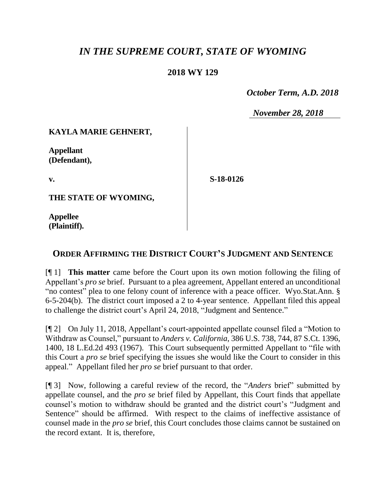# *IN THE SUPREME COURT, STATE OF WYOMING*

#### **2018 WY 129**

 *October Term, A.D. 2018*

*November 28, 2018*

## **KAYLA MARIE GEHNERT,**

**Appellant (Defendant),**

**v.**

**S-18-0126**

**THE STATE OF WYOMING,**

**Appellee (Plaintiff).**

## **ORDER AFFIRMING THE DISTRICT COURT'S JUDGMENT AND SENTENCE**

[¶ 1] **This matter** came before the Court upon its own motion following the filing of Appellant's *pro se* brief. Pursuant to a plea agreement, Appellant entered an unconditional "no contest" plea to one felony count of inference with a peace officer. Wyo.Stat.Ann. § 6-5-204(b). The district court imposed a 2 to 4-year sentence. Appellant filed this appeal to challenge the district court's April 24, 2018, "Judgment and Sentence."

[¶ 2] On July 11, 2018, Appellant's court-appointed appellate counsel filed a "Motion to Withdraw as Counsel," pursuant to *Anders v. California*, 386 U.S. 738, 744, 87 S.Ct. 1396, 1400, 18 L.Ed.2d 493 (1967). This Court subsequently permitted Appellant to "file with this Court a *pro se* brief specifying the issues she would like the Court to consider in this appeal." Appellant filed her *pro se* brief pursuant to that order.

[¶ 3] Now, following a careful review of the record, the "*Anders* brief" submitted by appellate counsel, and the *pro se* brief filed by Appellant, this Court finds that appellate counsel's motion to withdraw should be granted and the district court's "Judgment and Sentence" should be affirmed. With respect to the claims of ineffective assistance of counsel made in the *pro se* brief, this Court concludes those claims cannot be sustained on the record extant. It is, therefore,